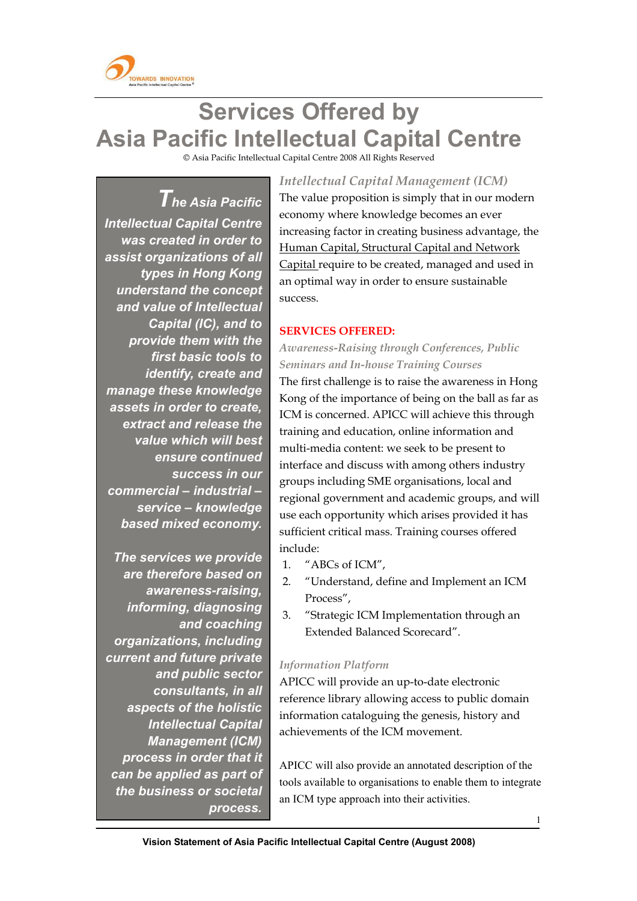

l

# **Services Offered by Asia Pacific Intellectual Capital Centre**

© Asia Pacific Intellectual Capital Centre 2008 All Rights Reserved

*The Asia Pacific Intellectual Capital Centre was created in order to assist organizations of all types in Hong Kong understand the concept and value of Intellectual Capital (IC), and to provide them with the first basic tools to identify, create and manage these knowledge assets in order to create, extract and release the value which will best ensure continued success in our commercial – industrial – service – knowledge based mixed economy.* 

 *The services we provide are therefore based on awareness-raising, informing, diagnosing and coaching organizations, including current and future private and public sector consultants, in all aspects of the holistic Intellectual Capital Management (ICM) process in order that it can be applied as part of the business or societal process.* 

 *Intellectual Capital Management (ICM)* The value proposition is simply that in our modern economy where knowledge becomes an ever increasing factor in creating business advantage, the Human Capital, Structural Capital and Network Capital require to be created, managed and used in an optimal way in order to ensure sustainable success.

### **SERVICES OFFERED:**

## *Awareness-Raising through Conferences, Public Seminars and In-house Training Courses*

The first challenge is to raise the awareness in Hong Kong of the importance of being on the ball as far as ICM is concerned. APICC will achieve this through training and education, online information and multi-media content: we seek to be present to interface and discuss with among others industry groups including SME organisations, local and regional government and academic groups, and will use each opportunity which arises provided it has sufficient critical mass. Training courses offered include:

- 1. "ABCs of ICM",
- 2. "Understand, define and Implement an ICM Process",
- 3. "Strategic ICM Implementation through an Extended Balanced Scorecard".

### *Information Platform*

APICC will provide an up-to-date electronic reference library allowing access to public domain information cataloguing the genesis, history and achievements of the ICM movement.

APICC will also provide an annotated description of the tools available to organisations to enable them to integrate an ICM type approach into their activities.